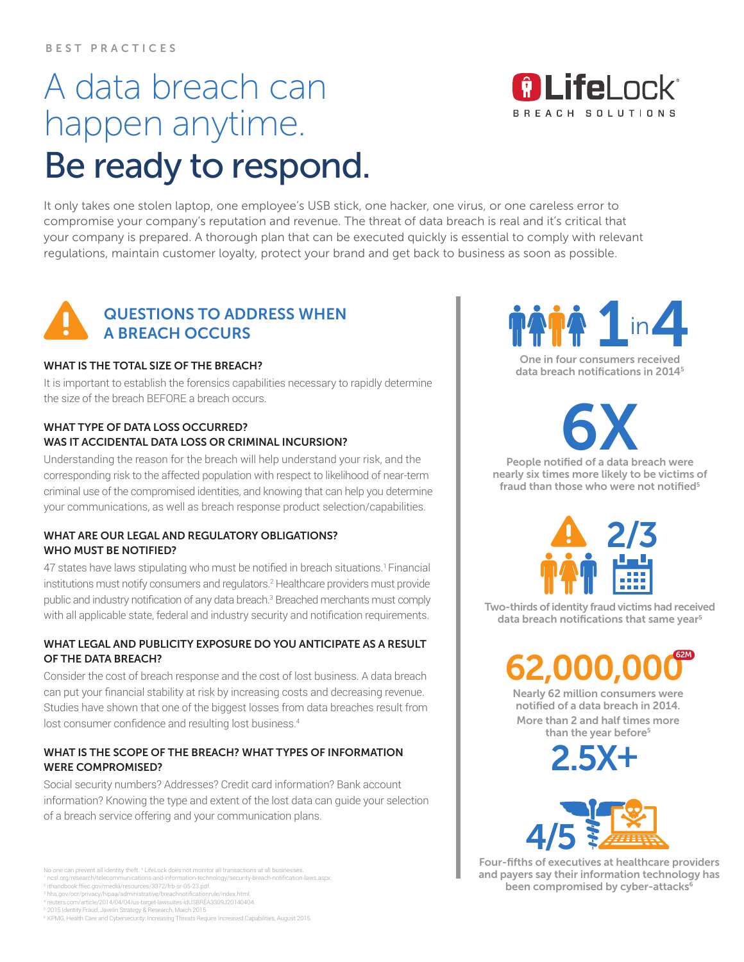# A data breach can happen anytime. Be ready to respond.

It only takes one stolen laptop, one employee's USB stick, one hacker, one virus, or one careless error to compromise your company's reputation and revenue. The threat of data breach is real and it's critical that your company is prepared. A thorough plan that can be executed quickly is essential to comply with relevant regulations, maintain customer loyalty, protect your brand and get back to business as soon as possible.



### QUESTIONS TO ADDRESS WHEN A BREACH OCCURS

#### WHAT IS THE TOTAL SIZE OF THE BREACH?

It is important to establish the forensics capabilities necessary to rapidly determine the size of the breach BEFORE a breach occurs.

### WHAT TYPE OF DATA LOSS OCCURRED? WAS IT ACCIDENTAL DATA LOSS OR CRIMINAL INCURSION?

Understanding the reason for the breach will help understand your risk, and the corresponding risk to the affected population with respect to likelihood of near-term criminal use of the compromised identities, and knowing that can help you determine your communications, as well as breach response product selection/capabilities.

### WHAT ARE OUR LEGAL AND REGULATORY OBLIGATIONS? WHO MUST BE NOTIFIED?

47 states have laws stipulating who must be notified in breach situations.<sup>1</sup> Financial institutions must notify consumers and regulators.2 Healthcare providers must provide public and industry notification of any data breach.<sup>3</sup> Breached merchants must comply with all applicable state, federal and industry security and notification requirements.

### WHAT LEGAL AND PUBLICITY EXPOSURE DO YOU ANTICIPATE AS A RESULT OF THE DATA BREACH?

Consider the cost of breach response and the cost of lost business. A data breach can put your financial stability at risk by increasing costs and decreasing revenue. Studies have shown that one of the biggest losses from data breaches result from lost consumer confidence and resulting lost business.<sup>4</sup>

### WHAT IS THE SCOPE OF THE BREACH? WHAT TYPES OF INFORMATION WERE COMPROMISED?

Social security numbers? Addresses? Credit card information? Bank account information? Knowing the type and extent of the lost data can guide your selection of a breach service offering and your communication plans.





One in four consumers received data breach notifications in 20145

**6X** 

People notified of a data breach were nearly six times more likely to be victims of fraud than those who were not notified<sup>5</sup>



Two-thirds of identity fraud victims had received data breach notifications that same year<sup>5</sup>

> **2,000** 62M

Nearly 62 million consumers were notified of a data breach in 2014. More than 2 and half times more than the year before<sup>5</sup>

2.5X+



Four-fifths of executives at healthcare providers and payers say their information technology has been compromised by cyber-attacks<sup>6</sup>

No one can prevent all identity theft. † LifeLock does not monitor all transactions at all businesses.

<sup>1</sup> ncsl.org/research/telecommunications-and-information-technology/security-breach-notification-laws.aspx. <sup>2</sup> ithandbook.ffiec.gov/media/resources/3372/frb-sr-05-23.pdf.

<sup>3</sup> hhs.gov/ocr/privacy/hipaa/administrative/breachnotificationrule/index.html.

<sup>4</sup> reuters.com/article/2014/04/04/us-target-lawsuites-idUSBREA3309J20140404. <sup>5</sup> 2015 Identity Fraud, Javelin Strategy & Research, March 2015.

<sup>6</sup> KPMG, Health Care and Cybersecurity: Increasing Threats Require Increased Capabilities, August 2015.